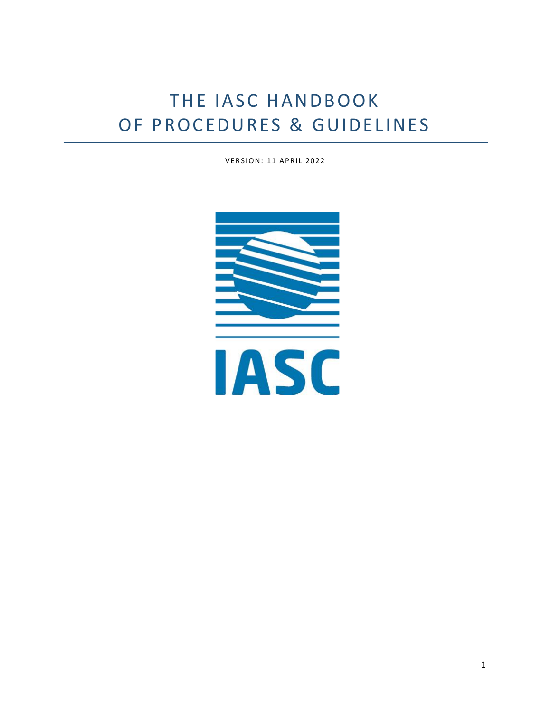# THE IASC HANDBOOK OF PROCEDURES & GUIDELINES

**VERSION: 11 APRIL 2022** 

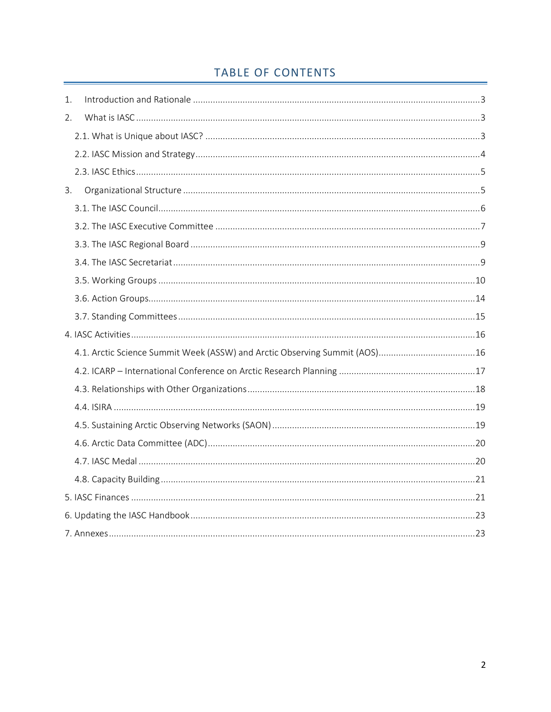# TABLE OF CONTENTS

| 1.                                                                         |  |
|----------------------------------------------------------------------------|--|
| 2.                                                                         |  |
|                                                                            |  |
|                                                                            |  |
|                                                                            |  |
| 3.                                                                         |  |
|                                                                            |  |
|                                                                            |  |
|                                                                            |  |
|                                                                            |  |
|                                                                            |  |
|                                                                            |  |
|                                                                            |  |
|                                                                            |  |
| 4.1. Arctic Science Summit Week (ASSW) and Arctic Observing Summit (AOS)16 |  |
|                                                                            |  |
|                                                                            |  |
|                                                                            |  |
|                                                                            |  |
|                                                                            |  |
|                                                                            |  |
|                                                                            |  |
|                                                                            |  |
|                                                                            |  |
|                                                                            |  |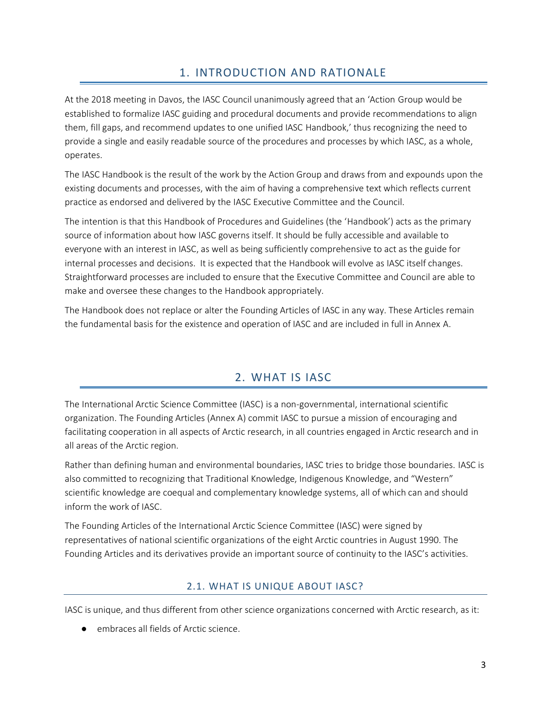# 1. INTRODUCTION AND RATIONALE

<span id="page-2-0"></span>At the 2018 meeting in Davos, the IASC Council unanimously agreed that an 'Action Group would be established to formalize IASC guiding and procedural documents and provide recommendations to align them, fill gaps, and recommend updates to one unified IASC Handbook,' thus recognizing the need to provide a single and easily readable source of the procedures and processes by which IASC, as a whole, operates.

The IASC Handbook is the result of the work by the Action Group and draws from and expounds upon the existing documents and processes, with the aim of having a comprehensive text which reflects current practice as endorsed and delivered by the IASC Executive Committee and the Council.

The intention is that this Handbook of Procedures and Guidelines (the 'Handbook') acts as the primary source of information about how IASC governs itself. It should be fully accessible and available to everyone with an interest in IASC, as well as being sufficiently comprehensive to act as the guide for internal processes and decisions. It is expected that the Handbook will evolve as IASC itself changes. Straightforward processes are included to ensure that the Executive Committee and Council are able to make and oversee these changes to the Handbook appropriately.

The Handbook does not replace or alter the Founding Articles of IASC in any way. These Articles remain the fundamental basis for the existence and operation of IASC and are included in full in Annex A.

# 2. WHAT IS IASC

<span id="page-2-1"></span>The International Arctic Science Committee (IASC) is a non-governmental, international scientific organization. The Founding Articles (Annex A) commit IASC to pursue a mission of encouraging and facilitating cooperation in all aspects of Arctic research, in all countries engaged in Arctic research and in all areas of the Arctic region.

Rather than defining human and environmental boundaries, IASC tries to bridge those boundaries. IASC is also committed to recognizing that Traditional Knowledge, Indigenous Knowledge, and "Western" scientific knowledge are coequal and complementary knowledge systems, all of which can and should inform the work of IASC.

The Founding Articles of the International Arctic Science Committee (IASC) were signed by representatives of national scientific organizations of the eight Arctic countries in August 1990. The Founding Articles and its derivatives provide an important source of continuity to the IASC's activities.

# 2.1. WHAT IS UNIQUE ABOUT IASC?

<span id="page-2-2"></span>IASC is unique, and thus different from other science organizations concerned with Arctic research, as it:

● embraces all fields of Arctic science.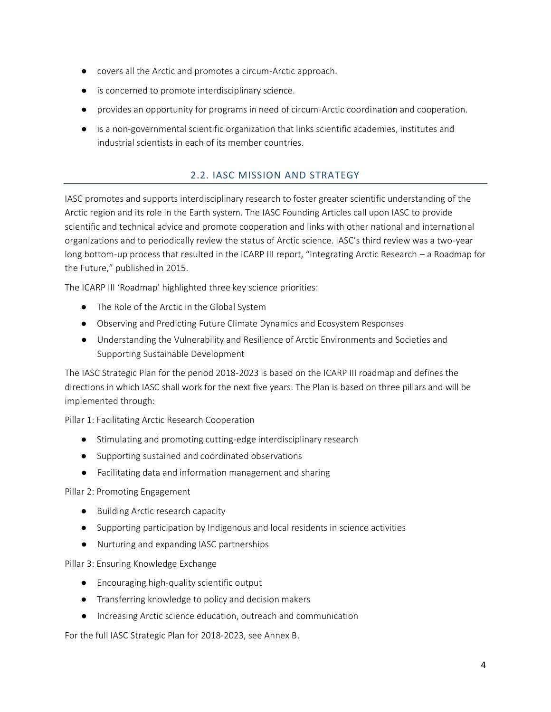- covers all the Arctic and promotes a circum-Arctic approach.
- is concerned to promote interdisciplinary science.
- provides an opportunity for programs in need of circum-Arctic coordination and cooperation.
- is a non-governmental scientific organization that links scientific academies, institutes and industrial scientists in each of its member countries.

### 2.2. IASC MISSION AND STRATEGY

<span id="page-3-0"></span>IASC promotes and supports interdisciplinary research to foster greater scientific understanding of the Arctic region and its role in the Earth system. The IASC Founding Articles call upon IASC to provide scientific and technical advice and promote cooperation and links with other national and international organizations and to periodically review the status of Arctic science. IASC's third review was a two-year long bottom-up process that resulted in the ICARP III report, "Integrating Arctic Research – a Roadmap for the Future," published in 2015.

The ICARP III 'Roadmap' highlighted three key science priorities:

- The Role of the Arctic in the Global System
- Observing and Predicting Future Climate Dynamics and Ecosystem Responses
- Understanding the Vulnerability and Resilience of Arctic Environments and Societies and Supporting Sustainable Development

The IASC Strategic Plan for the period 2018-2023 is based on the ICARP III roadmap and defines the directions in which IASC shall work for the next five years. The Plan is based on three pillars and will be implemented through:

Pillar 1: Facilitating Arctic Research Cooperation

- Stimulating and promoting cutting-edge interdisciplinary research
- Supporting sustained and coordinated observations
- Facilitating data and information management and sharing

Pillar 2: Promoting Engagement

- Building Arctic research capacity
- Supporting participation by Indigenous and local residents in science activities
- Nurturing and expanding IASC partnerships

Pillar 3: Ensuring Knowledge Exchange

- Encouraging high-quality scientific output
- Transferring knowledge to policy and decision makers
- Increasing Arctic science education, outreach and communication

For the full IASC Strategic Plan for 2018-2023, see Annex B.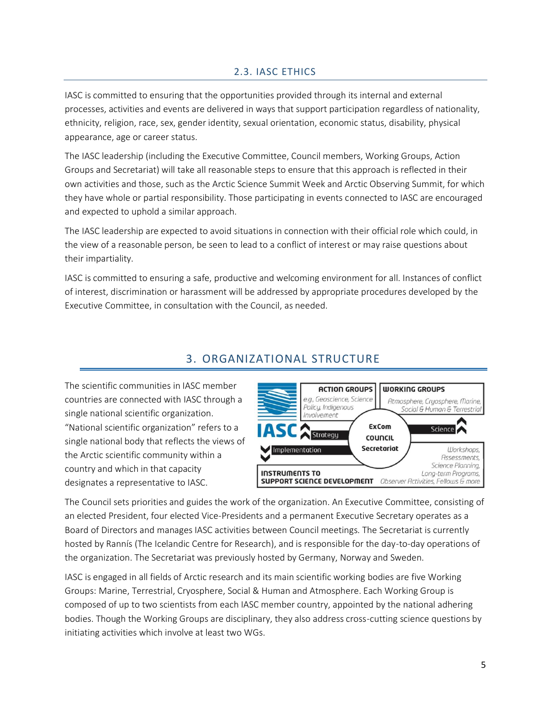# 2.3. IASC ETHICS

<span id="page-4-0"></span>IASC is committed to ensuring that the opportunities provided through its internal and external processes, activities and events are delivered in ways that support participation regardless of nationality, ethnicity, religion, race, sex, gender identity, sexual orientation, economic status, disability, physical appearance, age or career status.

The IASC leadership (including the Executive Committee, Council members, Working Groups, Action Groups and Secretariat) will take all reasonable steps to ensure that this approach is reflected in their own activities and those, such as the Arctic Science Summit Week and Arctic Observing Summit, for which they have whole or partial responsibility. Those participating in events connected to IASC are encouraged and expected to uphold a similar approach.

The IASC leadership are expected to avoid situations in connection with their official role which could, in the view of a reasonable person, be seen to lead to a conflict of interest or may raise questions about their impartiality.

IASC is committed to ensuring a safe, productive and welcoming environment for all. Instances of conflict of interest, discrimination or harassment will be addressed by appropriate procedures developed by the Executive Committee, in consultation with the Council, as needed.

# 3. ORGANIZATIONAL STRUCTURE

<span id="page-4-1"></span>The scientific communities in IASC member countries are connected with IASC through a single national scientific organization. "National scientific organization" refers to a single national body that reflects the views of the Arctic scientific community within a country and which in that capacity designates a representative to IASC.



The Council sets priorities and guides the work of the organization. An Executive Committee, consisting of an elected President, four elected Vice-Presidents and a permanent Executive Secretary operates as a Board of Directors and manages IASC activities between Council meetings. The Secretariat is currently hosted by Rannís (The Icelandic Centre for Research), and is responsible for the day-to-day operations of the organization. The Secretariat was previously hosted by Germany, Norway and Sweden.

IASC is engaged in all fields of Arctic research and its main scientific working bodies are five Working Groups: Marine, Terrestrial, Cryosphere, Social & Human and Atmosphere. Each Working Group is composed of up to two scientists from each IASC member country, appointed by the national adhering bodies. Though the Working Groups are disciplinary, they also address cross-cutting science questions by initiating activities which involve at least two WGs.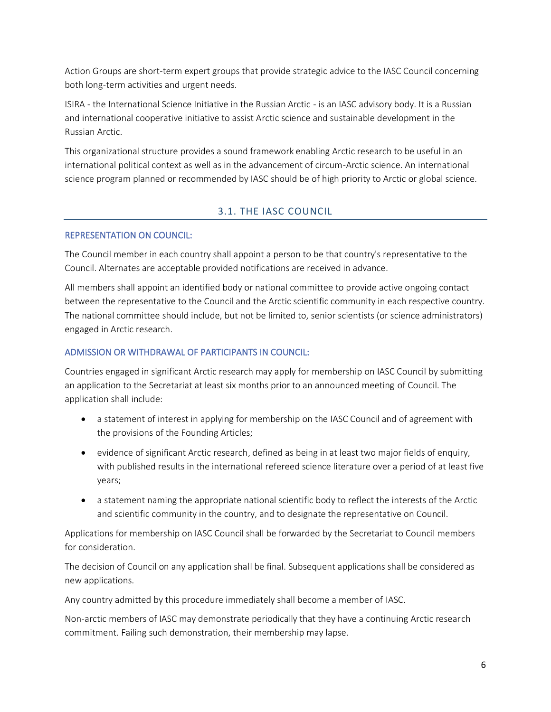Action Groups are short-term expert groups that provide strategic advice to the IASC Council concerning both long-term activities and urgent needs.

ISIRA - the International Science Initiative in the Russian Arctic - is an IASC advisory body. It is a Russian and international cooperative initiative to assist Arctic science and sustainable development in the Russian Arctic.

This organizational structure provides a sound framework enabling Arctic research to be useful in an international political context as well as in the advancement of circum-Arctic science. An international science program planned or recommended by IASC should be of high priority to Arctic or global science.

# 3.1. THE IASC COUNCIL

#### <span id="page-5-0"></span>REPRESENTATION ON COUNCIL:

The Council member in each country shall appoint a person to be that country's representative to the Council. Alternates are acceptable provided notifications are received in advance.

All members shall appoint an identified body or national committee to provide active ongoing contact between the representative to the Council and the Arctic scientific community in each respective country. The national committee should include, but not be limited to, senior scientists (or science administrators) engaged in Arctic research.

#### ADMISSION OR WITHDRAWAL OF PARTICIPANTS IN COUNCIL:

Countries engaged in significant Arctic research may apply for membership on IASC Council by submitting an application to the Secretariat at least six months prior to an announced meeting of Council. The application shall include:

- a statement of interest in applying for membership on the IASC Council and of agreement with the provisions of the Founding Articles;
- evidence of significant Arctic research, defined as being in at least two major fields of enquiry, with published results in the international refereed science literature over a period of at least five years;
- a statement naming the appropriate national scientific body to reflect the interests of the Arctic and scientific community in the country, and to designate the representative on Council.

Applications for membership on IASC Council shall be forwarded by the Secretariat to Council members for consideration.

The decision of Council on any application shall be final. Subsequent applications shall be considered as new applications.

Any country admitted by this procedure immediately shall become a member of IASC.

Non-arctic members of IASC may demonstrate periodically that they have a continuing Arctic research commitment. Failing such demonstration, their membership may lapse.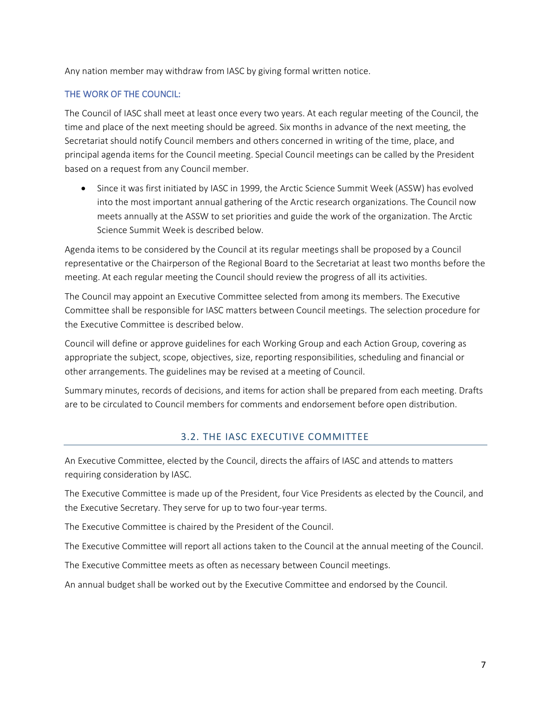Any nation member may withdraw from IASC by giving formal written notice.

#### THE WORK OF THE COUNCIL:

The Council of IASC shall meet at least once every two years. At each regular meeting of the Council, the time and place of the next meeting should be agreed. Six months in advance of the next meeting, the Secretariat should notify Council members and others concerned in writing of the time, place, and principal agenda items for the Council meeting. Special Council meetings can be called by the President based on a request from any Council member.

• Since it was first initiated by IASC in 1999, the Arctic Science Summit Week (ASSW) has evolved into the most important annual gathering of the Arctic research organizations. The Council now meets annually at the ASSW to set priorities and guide the work of the organization. The Arctic Science Summit Week is described below.

Agenda items to be considered by the Council at its regular meetings shall be proposed by a Council representative or the Chairperson of the Regional Board to the Secretariat at least two months before the meeting. At each regular meeting the Council should review the progress of all its activities.

The Council may appoint an Executive Committee selected from among its members. The Executive Committee shall be responsible for IASC matters between Council meetings. The selection procedure for the Executive Committee is described below.

Council will define or approve guidelines for each Working Group and each Action Group, covering as appropriate the subject, scope, objectives, size, reporting responsibilities, scheduling and financial or other arrangements. The guidelines may be revised at a meeting of Council.

<span id="page-6-0"></span>Summary minutes, records of decisions, and items for action shall be prepared from each meeting. Drafts are to be circulated to Council members for comments and endorsement before open distribution.

# 3.2. THE IASC EXECUTIVE COMMITTEE

An Executive Committee, elected by the Council, directs the affairs of IASC and attends to matters requiring consideration by IASC.

The Executive Committee is made up of the President, four Vice Presidents as elected by the Council, and the Executive Secretary. They serve for up to two four-year terms.

The Executive Committee is chaired by the President of the Council.

The Executive Committee will report all actions taken to the Council at the annual meeting of the Council.

The Executive Committee meets as often as necessary between Council meetings.

An annual budget shall be worked out by the Executive Committee and endorsed by the Council.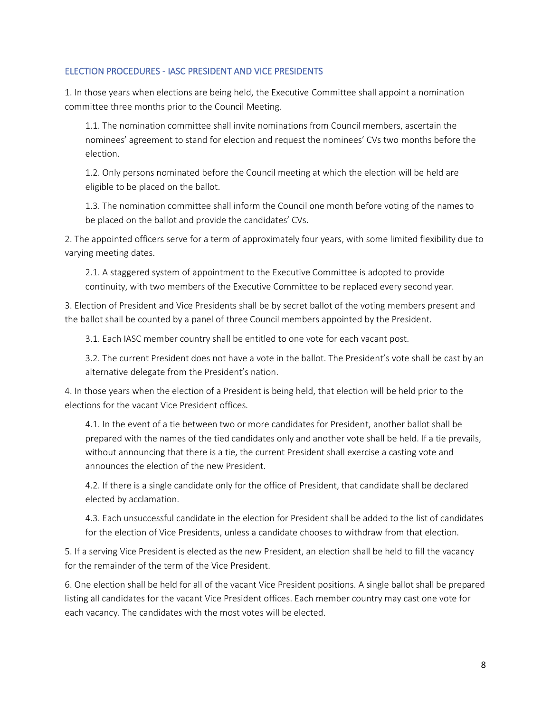#### ELECTION PROCEDURES - IASC PRESIDENT AND VICE PRESIDENTS

1. In those years when elections are being held, the Executive Committee shall appoint a nomination committee three months prior to the Council Meeting.

1.1. The nomination committee shall invite nominations from Council members, ascertain the nominees' agreement to stand for election and request the nominees' CVs two months before the election.

1.2. Only persons nominated before the Council meeting at which the election will be held are eligible to be placed on the ballot.

1.3. The nomination committee shall inform the Council one month before voting of the names to be placed on the ballot and provide the candidates' CVs.

2. The appointed officers serve for a term of approximately four years, with some limited flexibility due to varying meeting dates.

2.1. A staggered system of appointment to the Executive Committee is adopted to provide continuity, with two members of the Executive Committee to be replaced every second year.

3. Election of President and Vice Presidents shall be by secret ballot of the voting members present and the ballot shall be counted by a panel of three Council members appointed by the President.

3.1. Each IASC member country shall be entitled to one vote for each vacant post.

3.2. The current President does not have a vote in the ballot. The President's vote shall be cast by an alternative delegate from the President's nation.

4. In those years when the election of a President is being held, that election will be held prior to the elections for the vacant Vice President offices.

4.1. In the event of a tie between two or more candidates for President, another ballot shall be prepared with the names of the tied candidates only and another vote shall be held. If a tie prevails, without announcing that there is a tie, the current President shall exercise a casting vote and announces the election of the new President.

4.2. If there is a single candidate only for the office of President, that candidate shall be declared elected by acclamation.

4.3. Each unsuccessful candidate in the election for President shall be added to the list of candidates for the election of Vice Presidents, unless a candidate chooses to withdraw from that election.

5. If a serving Vice President is elected as the new President, an election shall be held to fill the vacancy for the remainder of the term of the Vice President.

6. One election shall be held for all of the vacant Vice President positions. A single ballot shall be prepared listing all candidates for the vacant Vice President offices. Each member country may cast one vote for each vacancy. The candidates with the most votes will be elected.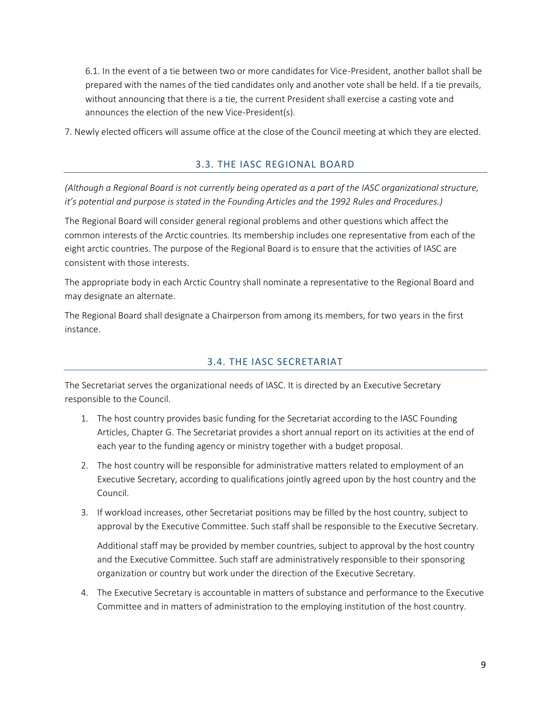6.1. In the event of a tie between two or more candidates for Vice-President, another ballot shall be prepared with the names of the tied candidates only and another vote shall be held. If a tie prevails, without announcing that there is a tie, the current President shall exercise a casting vote and announces the election of the new Vice-President(s).

<span id="page-8-0"></span>7. Newly elected officers will assume office at the close of the Council meeting at which they are elected.

#### 3.3. THE IASC REGIONAL BOARD

*(Although a Regional Board is not currently being operated as a part of the IASC organizational structure, it's potential and purpose is stated in the Founding Articles and the 1992 Rules and Procedures.)*

The Regional Board will consider general regional problems and other questions which affect the common interests of the Arctic countries. Its membership includes one representative from each of the eight arctic countries. The purpose of the Regional Board is to ensure that the activities of IASC are consistent with those interests.

The appropriate body in each Arctic Country shall nominate a representative to the Regional Board and may designate an alternate.

<span id="page-8-1"></span>The Regional Board shall designate a Chairperson from among its members, for two years in the first instance.

### 3.4. THE IASC SECRETARIAT

The Secretariat serves the organizational needs of IASC. It is directed by an Executive Secretary responsible to the Council.

- 1. The host country provides basic funding for the Secretariat according to the IASC Founding Articles, Chapter G. The Secretariat provides a short annual report on its activities at the end of each year to the funding agency or ministry together with a budget proposal.
- 2. The host country will be responsible for administrative matters related to employment of an Executive Secretary, according to qualifications jointly agreed upon by the host country and the Council.
- 3. If workload increases, other Secretariat positions may be filled by the host country, subject to approval by the Executive Committee. Such staff shall be responsible to the Executive Secretary.

Additional staff may be provided by member countries, subject to approval by the host country and the Executive Committee. Such staff are administratively responsible to their sponsoring organization or country but work under the direction of the Executive Secretary.

4. The Executive Secretary is accountable in matters of substance and performance to the Executive Committee and in matters of administration to the employing institution of the host country.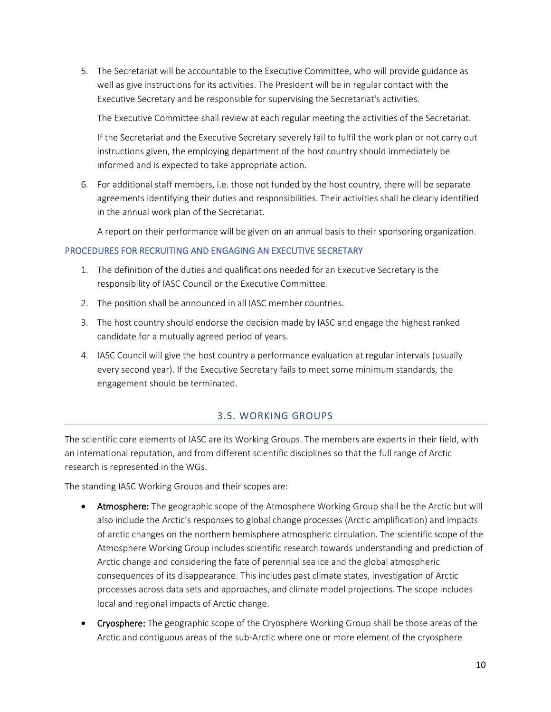5. The Secretariat will be accountable to the Executive Committee, who will provide guidance as well as give instructions for its activities. The President will be in regular contact with the Executive Secretary and be responsible for supervising the Secretariat's activities.

The Executive Committee shall review at each regular meeting the activities of the Secretariat.

If the Secretariat and the Executive Secretary severely fail to fulfil the work plan or not carry out instructions given, the employing department of the host country should immediately be informed and is expected to take appropriate action.

6. For additional staff members, i.e. those not funded by the host country, there will be separate agreements identifying their duties and responsibilities. Their activities shall be clearly identified in the annual work plan of the Secretariat.

A report on their performance will be given on an annual basis to their sponsoring organization.

#### PROCEDURES FOR RECRUITING AND ENGAGING AN EXECUTIVE SECRETARY

- 1. The definition of the duties and qualifications needed for an Executive Secretary is the responsibility of IASC Council or the Executive Committee.
- 2. The position shall be announced in all IASC member countries.
- 3. The host country should endorse the decision made by IASC and engage the highest ranked candidate for a mutually agreed period of years.
- 4. IASC Council will give the host country a performance evaluation at regular intervals (usually every second year). If the Executive Secretary fails to meet some minimum standards, the engagement should be terminated.

# 3.5. WORKING GROUPS

<span id="page-9-0"></span>The scientific core elements of IASC are its Working Groups. The members are experts in their field, with an international reputation, and from different scientific disciplines so that the full range of Arctic research is represented in the WGs.

The standing IASC Working Groups and their scopes are:

- Atmosphere: The geographic scope of the Atmosphere Working Group shall be the Arctic but will also include the Arctic's responses to global change processes (Arctic amplification) and impacts of arctic changes on the northern hemisphere atmospheric circulation. The scientific scope of the Atmosphere Working Group includes scientific research towards understanding and prediction of Arctic change and considering the fate of perennial sea ice and the global atmospheric consequences of its disappearance. This includes past climate states, investigation of Arctic processes across data sets and approaches, and climate model projections. The scope includes local and regional impacts of Arctic change.
- Cryosphere: The geographic scope of the Cryosphere Working Group shall be those areas of the Arctic and contiguous areas of the sub-Arctic where one or more element of the cryosphere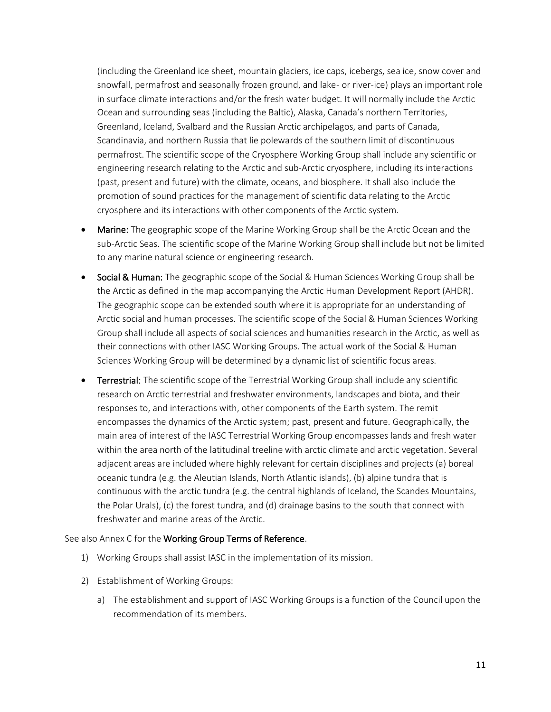(including the Greenland ice sheet, mountain glaciers, ice caps, icebergs, sea ice, snow cover and snowfall, permafrost and seasonally frozen ground, and lake- or river-ice) plays an important role in surface climate interactions and/or the fresh water budget. It will normally include the Arctic Ocean and surrounding seas (including the Baltic), Alaska, Canada's northern Territories, Greenland, Iceland, Svalbard and the Russian Arctic archipelagos, and parts of Canada, Scandinavia, and northern Russia that lie polewards of the southern limit of discontinuous permafrost. The scientific scope of the Cryosphere Working Group shall include any scientific or engineering research relating to the Arctic and sub-Arctic cryosphere, including its interactions (past, present and future) with the climate, oceans, and biosphere. It shall also include the promotion of sound practices for the management of scientific data relating to the Arctic cryosphere and its interactions with other components of the Arctic system.

- Marine: The geographic scope of the Marine Working Group shall be the Arctic Ocean and the sub-Arctic Seas. The scientific scope of the Marine Working Group shall include but not be limited to any marine natural science or engineering research.
- Social & Human: The geographic scope of the Social & Human Sciences Working Group shall be the Arctic as defined in the map accompanying the Arctic Human Development Report (AHDR). The geographic scope can be extended south where it is appropriate for an understanding of Arctic social and human processes. The scientific scope of the Social & Human Sciences Working Group shall include all aspects of social sciences and humanities research in the Arctic, as well as their connections with other IASC Working Groups. The actual work of the Social & Human Sciences Working Group will be determined by a dynamic list of scientific focus areas.
- Terrestrial: The scientific scope of the Terrestrial Working Group shall include any scientific research on Arctic terrestrial and freshwater environments, landscapes and biota, and their responses to, and interactions with, other components of the Earth system. The remit encompasses the dynamics of the Arctic system; past, present and future. Geographically, the main area of interest of the IASC Terrestrial Working Group encompasses lands and fresh water within the area north of the latitudinal treeline with arctic climate and arctic vegetation. Several adjacent areas are included where highly relevant for certain disciplines and projects (a) boreal oceanic tundra (e.g. the Aleutian Islands, North Atlantic islands), (b) alpine tundra that is continuous with the arctic tundra (e.g. the central highlands of Iceland, the Scandes Mountains, the Polar Urals), (c) the forest tundra, and (d) drainage basins to the south that connect with freshwater and marine areas of the Arctic.

#### See also Annex C for the Working Group Terms of Reference.

- 1) Working Groups shall assist IASC in the implementation of its mission.
- 2) Establishment of Working Groups:
	- a) The establishment and support of IASC Working Groups is a function of the Council upon the recommendation of its members.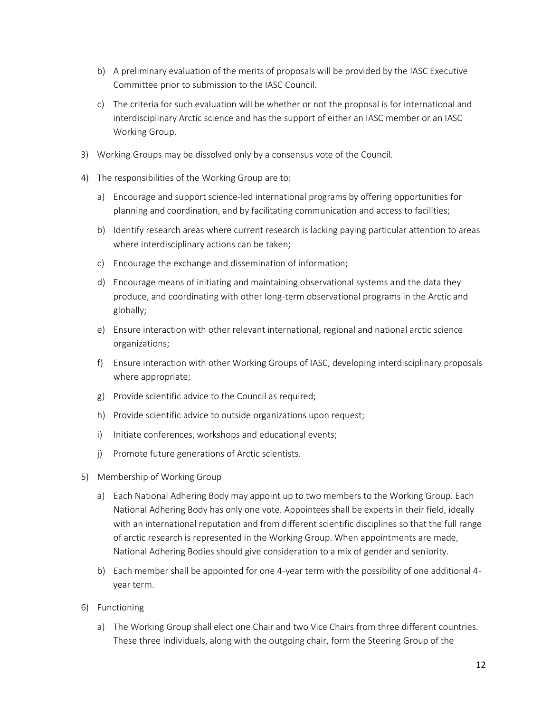- b) A preliminary evaluation of the merits of proposals will be provided by the IASC Executive Committee prior to submission to the IASC Council.
- c) The criteria for such evaluation will be whether or not the proposal is for international and interdisciplinary Arctic science and has the support of either an IASC member or an IASC Working Group.
- 3) Working Groups may be dissolved only by a consensus vote of the Council.
- 4) The responsibilities of the Working Group are to:
	- a) Encourage and support science-led international programs by offering opportunities for planning and coordination, and by facilitating communication and access to facilities;
	- b) Identify research areas where current research is lacking paying particular attention to areas where interdisciplinary actions can be taken;
	- c) Encourage the exchange and dissemination of information;
	- d) Encourage means of initiating and maintaining observational systems and the data they produce, and coordinating with other long-term observational programs in the Arctic and globally;
	- e) Ensure interaction with other relevant international, regional and national arctic science organizations;
	- f) Ensure interaction with other Working Groups of IASC, developing interdisciplinary proposals where appropriate;
	- g) Provide scientific advice to the Council as required;
	- h) Provide scientific advice to outside organizations upon request;
	- i) Initiate conferences, workshops and educational events;
	- j) Promote future generations of Arctic scientists.
- 5) Membership of Working Group
	- a) Each National Adhering Body may appoint up to two members to the Working Group. Each National Adhering Body has only one vote. Appointees shall be experts in their field, ideally with an international reputation and from different scientific disciplines so that the full range of arctic research is represented in the Working Group. When appointments are made, National Adhering Bodies should give consideration to a mix of gender and seniority.
	- b) Each member shall be appointed for one 4-year term with the possibility of one additional 4 year term.
- 6) Functioning
	- a) The Working Group shall elect one Chair and two Vice Chairs from three different countries. These three individuals, along with the outgoing chair, form the Steering Group of the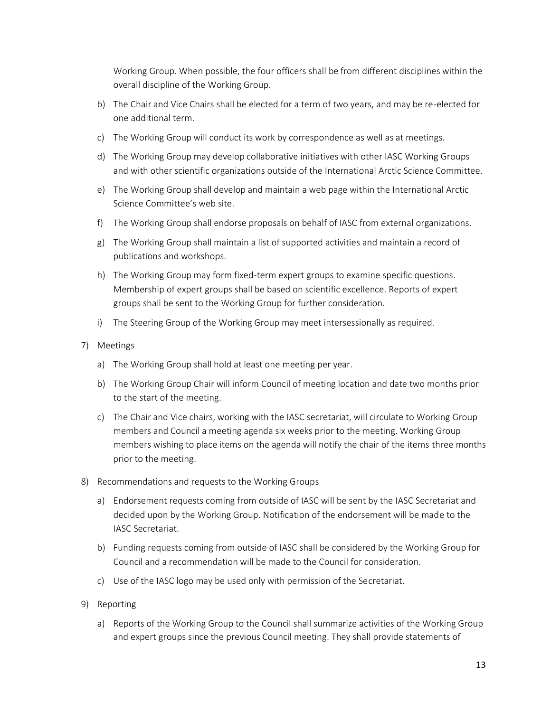Working Group. When possible, the four officers shall be from different disciplines within the overall discipline of the Working Group.

- b) The Chair and Vice Chairs shall be elected for a term of two years, and may be re-elected for one additional term.
- c) The Working Group will conduct its work by correspondence as well as at meetings.
- d) The Working Group may develop collaborative initiatives with other IASC Working Groups and with other scientific organizations outside of the International Arctic Science Committee.
- e) The Working Group shall develop and maintain a web page within the International Arctic Science Committee's web site.
- f) The Working Group shall endorse proposals on behalf of IASC from external organizations.
- g) The Working Group shall maintain a list of supported activities and maintain a record of publications and workshops.
- h) The Working Group may form fixed-term expert groups to examine specific questions. Membership of expert groups shall be based on scientific excellence. Reports of expert groups shall be sent to the Working Group for further consideration.
- i) The Steering Group of the Working Group may meet intersessionally as required.

#### 7) Meetings

- a) The Working Group shall hold at least one meeting per year.
- b) The Working Group Chair will inform Council of meeting location and date two months prior to the start of the meeting.
- c) The Chair and Vice chairs, working with the IASC secretariat, will circulate to Working Group members and Council a meeting agenda six weeks prior to the meeting. Working Group members wishing to place items on the agenda will notify the chair of the items three months prior to the meeting.
- 8) Recommendations and requests to the Working Groups
	- a) Endorsement requests coming from outside of IASC will be sent by the IASC Secretariat and decided upon by the Working Group. Notification of the endorsement will be made to the IASC Secretariat.
	- b) Funding requests coming from outside of IASC shall be considered by the Working Group for Council and a recommendation will be made to the Council for consideration.
	- c) Use of the IASC logo may be used only with permission of the Secretariat.
- 9) Reporting
	- a) Reports of the Working Group to the Council shall summarize activities of the Working Group and expert groups since the previous Council meeting. They shall provide statements of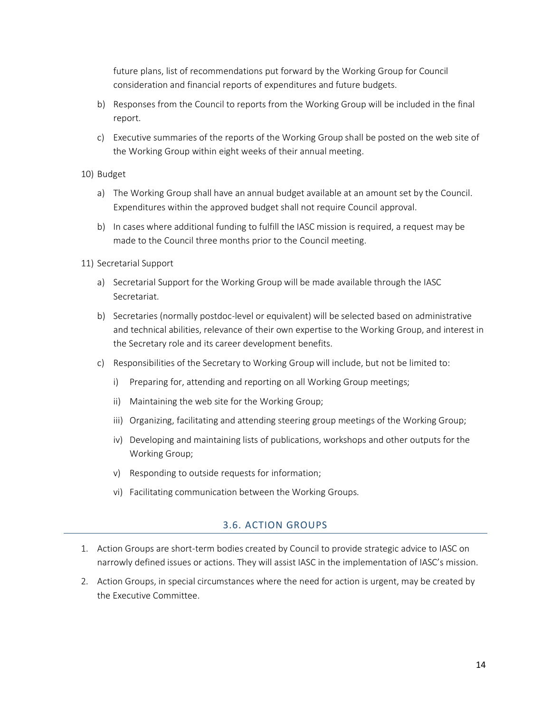future plans, list of recommendations put forward by the Working Group for Council consideration and financial reports of expenditures and future budgets.

- b) Responses from the Council to reports from the Working Group will be included in the final report.
- c) Executive summaries of the reports of the Working Group shall be posted on the web site of the Working Group within eight weeks of their annual meeting.

#### 10) Budget

- a) The Working Group shall have an annual budget available at an amount set by the Council. Expenditures within the approved budget shall not require Council approval.
- b) In cases where additional funding to fulfill the IASC mission is required, a request may be made to the Council three months prior to the Council meeting.

#### 11) Secretarial Support

- a) Secretarial Support for the Working Group will be made available through the IASC Secretariat.
- b) Secretaries (normally postdoc-level or equivalent) will be selected based on administrative and technical abilities, relevance of their own expertise to the Working Group, and interest in the Secretary role and its career development benefits.
- c) Responsibilities of the Secretary to Working Group will include, but not be limited to:
	- i) Preparing for, attending and reporting on all Working Group meetings;
	- ii) Maintaining the web site for the Working Group;
	- iii) Organizing, facilitating and attending steering group meetings of the Working Group;
	- iv) Developing and maintaining lists of publications, workshops and other outputs for the Working Group;
	- v) Responding to outside requests for information;
	- vi) Facilitating communication between the Working Groups.

# 3.6. ACTION GROUPS

- <span id="page-13-0"></span>1. Action Groups are short-term bodies created by Council to provide strategic advice to IASC on narrowly defined issues or actions. They will assist IASC in the implementation of IASC's mission.
- 2. Action Groups, in special circumstances where the need for action is urgent, may be created by the Executive Committee.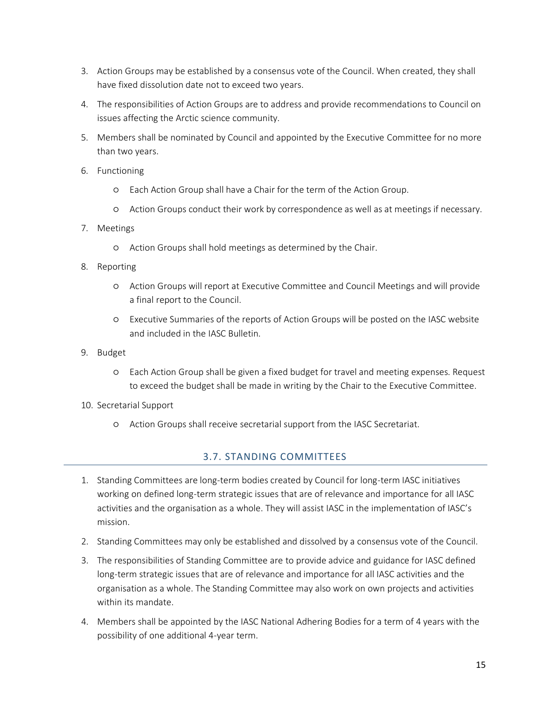- 3. Action Groups may be established by a consensus vote of the Council. When created, they shall have fixed dissolution date not to exceed two years.
- 4. The responsibilities of Action Groups are to address and provide recommendations to Council on issues affecting the Arctic science community.
- 5. Members shall be nominated by Council and appointed by the Executive Committee for no more than two years.
- 6. Functioning
	- Each Action Group shall have a Chair for the term of the Action Group.
	- Action Groups conduct their work by correspondence as well as at meetings if necessary.
- 7. Meetings
	- Action Groups shall hold meetings as determined by the Chair.
- 8. Reporting
	- Action Groups will report at Executive Committee and Council Meetings and will provide a final report to the Council.
	- Executive Summaries of the reports of Action Groups will be posted on the IASC website and included in the IASC Bulletin.
- 9. Budget
	- Each Action Group shall be given a fixed budget for travel and meeting expenses. Request to exceed the budget shall be made in writing by the Chair to the Executive Committee.
- <span id="page-14-0"></span>10. Secretarial Support
	- Action Groups shall receive secretarial support from the IASC Secretariat.

# 3.7. STANDING COMMITTEES

- 1. Standing Committees are long-term bodies created by Council for long-term IASC initiatives working on defined long-term strategic issues that are of relevance and importance for all IASC activities and the organisation as a whole. They will assist IASC in the implementation of IASC's mission.
- 2. Standing Committees may only be established and dissolved by a consensus vote of the Council.
- 3. The responsibilities of Standing Committee are to provide advice and guidance for IASC defined long-term strategic issues that are of relevance and importance for all IASC activities and the organisation as a whole. The Standing Committee may also work on own projects and activities within its mandate.
- 4. Members shall be appointed by the IASC National Adhering Bodies for a term of 4 years with the possibility of one additional 4-year term.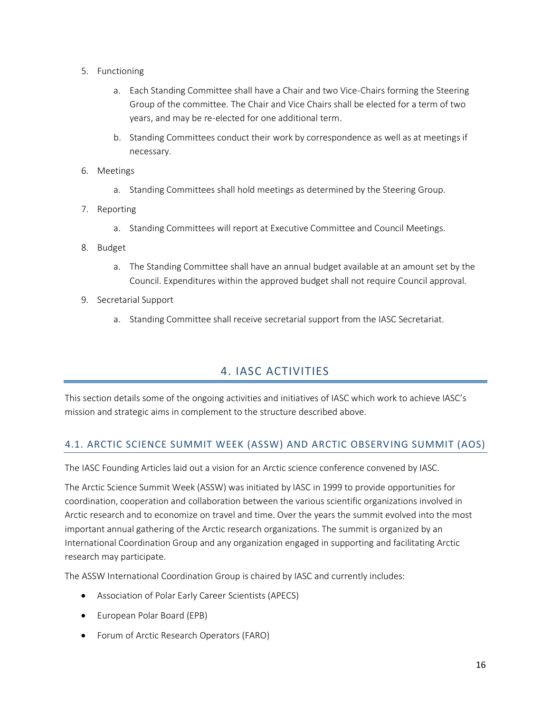- 5. Functioning
	- a. Each Standing Committee shall have a Chair and two Vice-Chairs forming the Steering Group of the committee. The Chair and Vice Chairs shall be elected for a term of two years, and may be re-elected for one additional term.
	- b. Standing Committees conduct their work by correspondence as well as at meetings if necessary.
- 6. Meetings
	- a. Standing Committees shall hold meetings as determined by the Steering Group.
- 7. Reporting
	- a. Standing Committees will report at Executive Committee and Council Meetings.
- 8. Budget
	- a. The Standing Committee shall have an annual budget available at an amount set by the Council. Expenditures within the approved budget shall not require Council approval.
- 9. Secretarial Support
	- a. Standing Committee shall receive secretarial support from the IASC Secretariat.

# 4. IASC ACTIVITIES

<span id="page-15-0"></span>This section details some of the ongoing activities and initiatives of IASC which work to achieve IASC's mission and strategic aims in complement to the structure described above.

# <span id="page-15-1"></span>4.1. ARCTIC SCIENCE SUMMIT WEEK (ASSW) AND ARCTIC OBSERVING SUMMIT (AOS)

The IASC Founding Articles laid out a vision for an Arctic science conference convened by IASC.

The Arctic Science Summit Week (ASSW) was initiated by IASC in 1999 to provide opportunities for coordination, cooperation and collaboration between the various scientific organizations involved in Arctic research and to economize on travel and time. Over the years the summit evolved into the most important annual gathering of the Arctic research organizations. The summit is organized by an International Coordination Group and any organization engaged in supporting and facilitating Arctic research may participate.

The ASSW International Coordination Group is chaired by IASC and currently includes:

- Association of Polar Early Career Scientists (APECS)
- European Polar Board (EPB)
- Forum of Arctic Research Operators (FARO)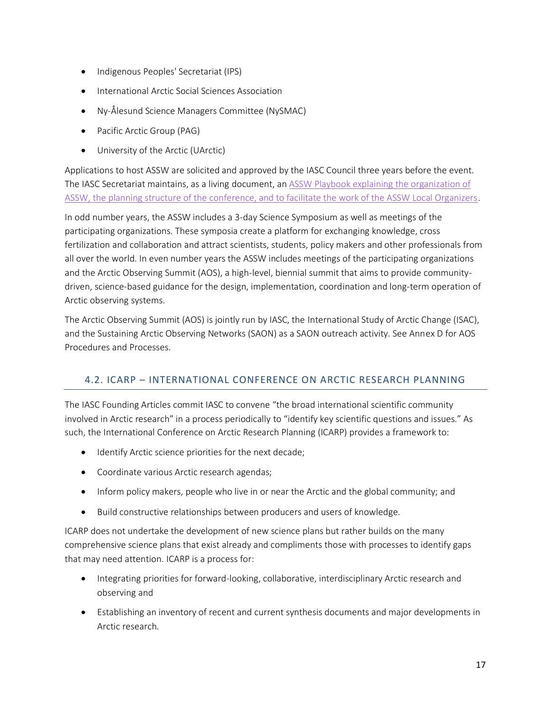- Indigenous Peoples' Secretariat (IPS)
- International Arctic Social Sciences Association
- Ny-Ålesund Science Managers Committee (NySMAC)
- Pacific Arctic Group (PAG)
- University of the Arctic (UArctic)

Applications to host ASSW are solicited and approved by the IASC Council three years before the event. The IASC Secretariat maintains, as a living document, a[n ASSW Playbook explaining the organization of](https://docs.google.com/document/d/1s3mA0j64mhVosc6IhgnbzELr_eOBMoUV0hD1_svBDhs/edit?usp=sharing)  [ASSW, the planning structure of the conference, and to facilitate the work of the ASSW Local Organizers.](https://docs.google.com/document/d/1s3mA0j64mhVosc6IhgnbzELr_eOBMoUV0hD1_svBDhs/edit?usp=sharing)

In odd number years, the ASSW includes a 3-day Science Symposium as well as meetings of the participating organizations. These symposia create a platform for exchanging knowledge, cross fertilization and collaboration and attract scientists, students, policy makers and other professionals from all over the world. In even number years the ASSW includes meetings of the participating organizations and the Arctic Observing Summit (AOS), a high-level, biennial summit that aims to provide communitydriven, science-based guidance for the design, implementation, coordination and long-term operation of Arctic observing systems.

The Arctic Observing Summit (AOS) is jointly run by IASC, the International Study of Arctic Change (ISAC), and the Sustaining Arctic Observing Networks (SAON) as a SAON outreach activity. See Annex D for AOS Procedures and Processes.

# <span id="page-16-0"></span>4.2. ICARP – INTERNATIONAL CONFERENCE ON ARCTIC RESEARCH PLANNING

The IASC Founding Articles commit IASC to convene "the broad international scientific community involved in Arctic research" in a process periodically to "identify key scientific questions and issues." As such, the International Conference on Arctic Research Planning (ICARP) provides a framework to:

- Identify Arctic science priorities for the next decade;
- Coordinate various Arctic research agendas;
- Inform policy makers, people who live in or near the Arctic and the global community; and
- Build constructive relationships between producers and users of knowledge.

ICARP does not undertake the development of new science plans but rather builds on the many comprehensive science plans that exist already and compliments those with processes to identify gaps that may need attention. ICARP is a process for:

- Integrating priorities for forward-looking, collaborative, interdisciplinary Arctic research and observing and
- Establishing an inventory of recent and current synthesis documents and major developments in Arctic research.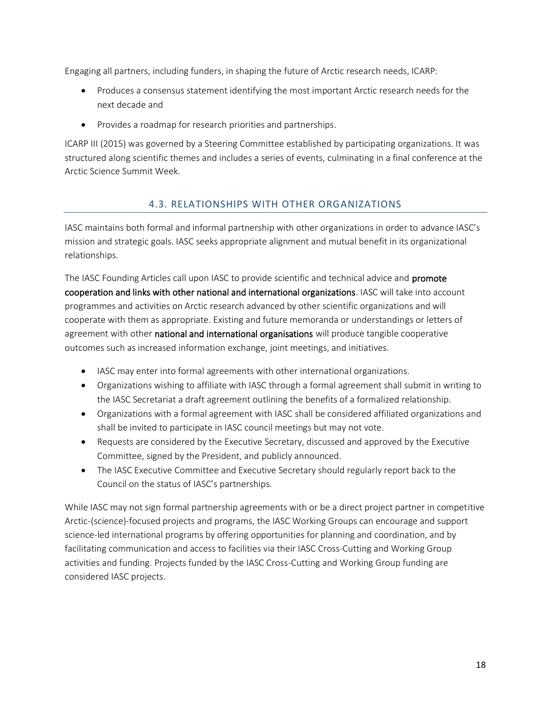Engaging all partners, including funders, in shaping the future of Arctic research needs, ICARP:

- Produces a consensus statement identifying the most important Arctic research needs for the next decade and
- Provides a roadmap for research priorities and partnerships.

ICARP III (2015) was governed by a Steering Committee established by participating organizations. It was structured along scientific themes and includes a series of events, culminating in a final conference at the Arctic Science Summit Week.

# 4.3. RELATIONSHIPS WITH OTHER ORGANIZATIONS

<span id="page-17-0"></span>IASC maintains both formal and informal partnership with other organizations in order to advance IASC's mission and strategic goals. IASC seeks appropriate alignment and mutual benefit in its organizational relationships.

The IASC Founding Articles call upon IASC to provide scientific and technical advice and **promote** cooperation and links with other national and international organizations. IASC will take into account programmes and activities on Arctic research advanced by other scientific organizations and will cooperate with them as appropriate. Existing and future memoranda or understandings or letters of agreement with other national and international organisations will produce tangible cooperative outcomes such as increased information exchange, joint meetings, and initiatives.

- IASC may enter into formal agreements with other international organizations.
- Organizations wishing to affiliate with IASC through a formal agreement shall submit in writing to the IASC Secretariat a draft agreement outlining the benefits of a formalized relationship.
- Organizations with a formal agreement with IASC shall be considered affiliated organizations and shall be invited to participate in IASC council meetings but may not vote.
- Requests are considered by the Executive Secretary, discussed and approved by the Executive Committee, signed by the President, and publicly announced.
- The IASC Executive Committee and Executive Secretary should regularly report back to the Council on the status of IASC's partnerships.

While IASC may not sign formal partnership agreements with or be a direct project partner in competitive Arctic-(science)-focused projects and programs, the IASC Working Groups can encourage and support science-led international programs by offering opportunities for planning and coordination, and by facilitating communication and access to facilities via their IASC Cross-Cutting and Working Group activities and funding. Projects funded by the IASC Cross-Cutting and Working Group funding are considered IASC projects.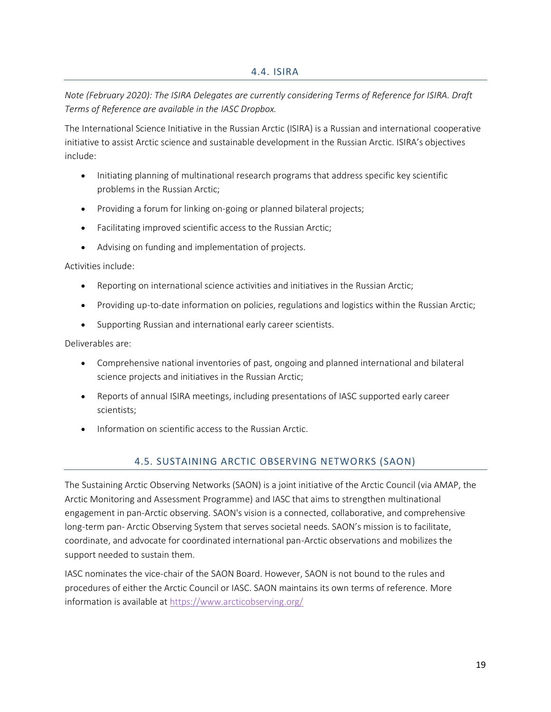<span id="page-18-0"></span>*Note (February 2020): The ISIRA Delegates are currently considering Terms of Reference for ISIRA. Draft Terms of Reference are available in the IASC Dropbox.*

The International Science Initiative in the Russian Arctic (ISIRA) is a Russian and international cooperative initiative to assist Arctic science and sustainable development in the Russian Arctic. ISIRA's objectives include:

- Initiating planning of multinational research programs that address specific key scientific problems in the Russian Arctic;
- Providing a forum for linking on-going or planned bilateral projects;
- Facilitating improved scientific access to the Russian Arctic;
- Advising on funding and implementation of projects.

#### Activities include:

- Reporting on international science activities and initiatives in the Russian Arctic;
- Providing up-to-date information on policies, regulations and logistics within the Russian Arctic;
- Supporting Russian and international early career scientists.

#### Deliverables are:

- Comprehensive national inventories of past, ongoing and planned international and bilateral science projects and initiatives in the Russian Arctic;
- Reports of annual ISIRA meetings, including presentations of IASC supported early career scientists;
- <span id="page-18-1"></span>• Information on scientific access to the Russian Arctic.

# 4.5. SUSTAINING ARCTIC OBSERVING NETWORKS (SAON)

The Sustaining Arctic Observing Networks (SAON) is a joint initiative of the Arctic Council (via AMAP, the Arctic Monitoring and Assessment Programme) and IASC that aims to strengthen multinational engagement in pan-Arctic observing. SAON's vision is a connected, collaborative, and comprehensive long-term pan- Arctic Observing System that serves societal needs. SAON's mission is to facilitate, coordinate, and advocate for coordinated international pan-Arctic observations and mobilizes the support needed to sustain them.

IASC nominates the vice-chair of the SAON Board. However, SAON is not bound to the rules and procedures of either the Arctic Council or IASC. SAON maintains its own terms of reference. More information is available a[t https://www.arcticobserving.org/](https://www.arcticobserving.org/)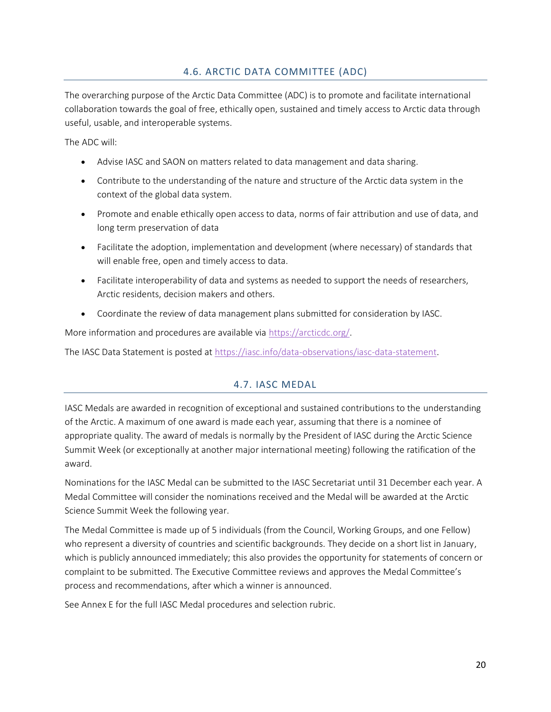# 4.6. ARCTIC DATA COMMITTEE (ADC)

<span id="page-19-0"></span>The overarching purpose of the Arctic Data Committee (ADC) is to promote and facilitate international collaboration towards the goal of free, ethically open, sustained and timely access to Arctic data through useful, usable, and interoperable systems.

The ADC will:

- Advise IASC and SAON on matters related to data management and data sharing.
- Contribute to the understanding of the nature and structure of the Arctic data system in the context of the global data system.
- Promote and enable ethically open access to data, norms of fair attribution and use of data, and long term preservation of data
- Facilitate the adoption, implementation and development (where necessary) of standards that will enable free, open and timely access to data.
- Facilitate interoperability of data and systems as needed to support the needs of researchers, Arctic residents, decision makers and others.
- Coordinate the review of data management plans submitted for consideration by IASC.

More information and procedures are available via [https://arcticdc.org/.](https://arcticdc.org/)

<span id="page-19-1"></span>The IASC Data Statement is posted a[t https://iasc.info/data-observations/iasc-data-statement.](https://iasc.info/data-observations/iasc-data-statement)

# 4.7. IASC MEDAL

IASC Medals are awarded in recognition of exceptional and sustained contributions to the understanding of the Arctic. A maximum of one award is made each year, assuming that there is a nominee of appropriate quality. The award of medals is normally by the President of IASC during the Arctic Science Summit Week (or exceptionally at another major international meeting) following the ratification of the award.

Nominations for the IASC Medal can be submitted to the IASC Secretariat until 31 December each year. A Medal Committee will consider the nominations received and the Medal will be awarded at the Arctic Science Summit Week the following year.

The Medal Committee is made up of 5 individuals (from the Council, Working Groups, and one Fellow) who represent a diversity of countries and scientific backgrounds. They decide on a short list in January, which is publicly announced immediately; this also provides the opportunity for statements of concern or complaint to be submitted. The Executive Committee reviews and approves the Medal Committee's process and recommendations, after which a winner is announced.

See Annex E for the full IASC Medal procedures and selection rubric.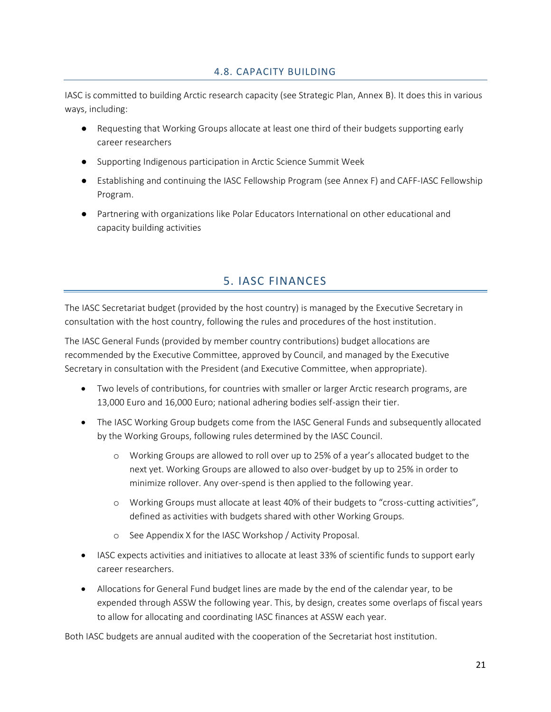### 4.8. CAPACITY BUILDING

<span id="page-20-0"></span>IASC is committed to building Arctic research capacity (see Strategic Plan, Annex B). It does this in various ways, including:

- Requesting that Working Groups allocate at least one third of their budgets supporting early career researchers
- Supporting Indigenous participation in Arctic Science Summit Week
- Establishing and continuing the IASC Fellowship Program (see Annex F) and CAFF-IASC Fellowship Program.
- Partnering with organizations like Polar Educators International on other educational and capacity building activities

# 5. IASC FINANCES

<span id="page-20-1"></span>The IASC Secretariat budget (provided by the host country) is managed by the Executive Secretary in consultation with the host country, following the rules and procedures of the host institution.

The IASC General Funds (provided by member country contributions) budget allocations are recommended by the Executive Committee, approved by Council, and managed by the Executive Secretary in consultation with the President (and Executive Committee, when appropriate).

- Two levels of contributions, for countries with smaller or larger Arctic research programs, are 13,000 Euro and 16,000 Euro; national adhering bodies self-assign their tier.
- The IASC Working Group budgets come from the IASC General Funds and subsequently allocated by the Working Groups, following rules determined by the IASC Council.
	- o Working Groups are allowed to roll over up to 25% of a year's allocated budget to the next yet. Working Groups are allowed to also over-budget by up to 25% in order to minimize rollover. Any over-spend is then applied to the following year.
	- o Working Groups must allocate at least 40% of their budgets to "cross-cutting activities", defined as activities with budgets shared with other Working Groups.
	- o See Appendix X for the IASC Workshop / Activity Proposal.
- IASC expects activities and initiatives to allocate at least 33% of scientific funds to support early career researchers.
- Allocations for General Fund budget lines are made by the end of the calendar year, to be expended through ASSW the following year. This, by design, creates some overlaps of fiscal years to allow for allocating and coordinating IASC finances at ASSW each year.

Both IASC budgets are annual audited with the cooperation of the Secretariat host institution.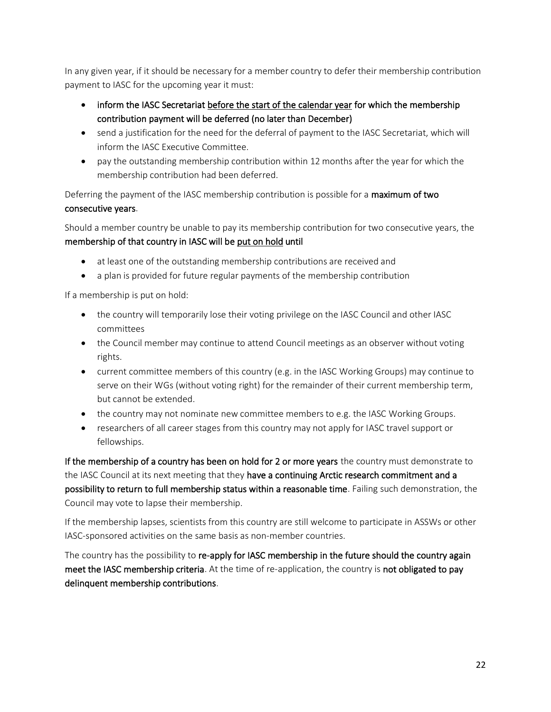In any given year, if it should be necessary for a member country to defer their membership contribution payment to IASC for the upcoming year it must:

- inform the IASC Secretariat before the start of the calendar year for which the membership contribution payment will be deferred (no later than December)
- send a justification for the need for the deferral of payment to the IASC Secretariat, which will inform the IASC Executive Committee.
- pay the outstanding membership contribution within 12 months after the year for which the membership contribution had been deferred.

Deferring the payment of the IASC membership contribution is possible for a maximum of two consecutive years.

Should a member country be unable to pay its membership contribution for two consecutive years, the membership of that country in IASC will be put on hold until

- at least one of the outstanding membership contributions are received and
- a plan is provided for future regular payments of the membership contribution

If a membership is put on hold:

- the country will temporarily lose their voting privilege on the IASC Council and other IASC committees
- the Council member may continue to attend Council meetings as an observer without voting rights.
- current committee members of this country (e.g. in the IASC Working Groups) may continue to serve on their WGs (without voting right) for the remainder of their current membership term, but cannot be extended.
- the country may not nominate new committee members to e.g. the IASC Working Groups.
- researchers of all career stages from this country may not apply for IASC travel support or fellowships.

If the membership of a country has been on hold for 2 or more years the country must demonstrate to the IASC Council at its next meeting that they have a continuing Arctic research commitment and a possibility to return to full membership status within a reasonable time. Failing such demonstration, the Council may vote to lapse their membership.

If the membership lapses, scientists from this country are still welcome to participate in ASSWs or other IASC-sponsored activities on the same basis as non-member countries.

The country has the possibility to re-apply for IASC membership in the future should the country again meet the IASC membership criteria. At the time of re-application, the country is not obligated to pay delinquent membership contributions.